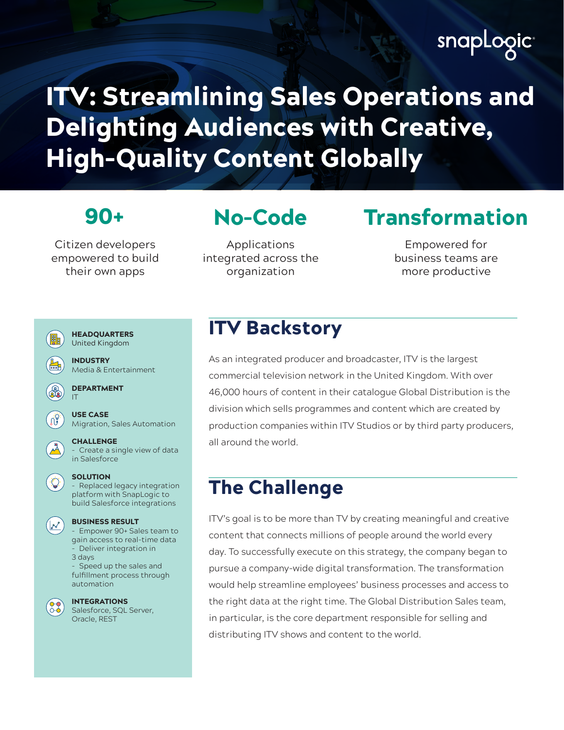# snapLogic

# ITV: Streamlining Sales Operations and Delighting Audiences with Creative, High-Quality Content Globally

Citizen developers empowered to build their own apps

## No-Code

Applications integrated across the organization

## 90+ Transformation

Empowered for business teams are more productive



## **ITV Backstory**

As an integrated producer and broadcaster, ITV is the largest commercial television network in the United Kingdom. With over 46,000 hours of content in their catalogue Global Distribution is the division which sells programmes and content which are created by production companies within ITV Studios or by third party producers, all around the world.

## The Challenge

ITV's goal is to be more than TV by creating meaningful and creative content that connects millions of people around the world every day. To successfully execute on this strategy, the company began to pursue a company-wide digital transformation. The transformation would help streamline employees' business processes and access to the right data at the right time. The Global Distribution Sales team, in particular, is the core department responsible for selling and distributing ITV shows and content to the world.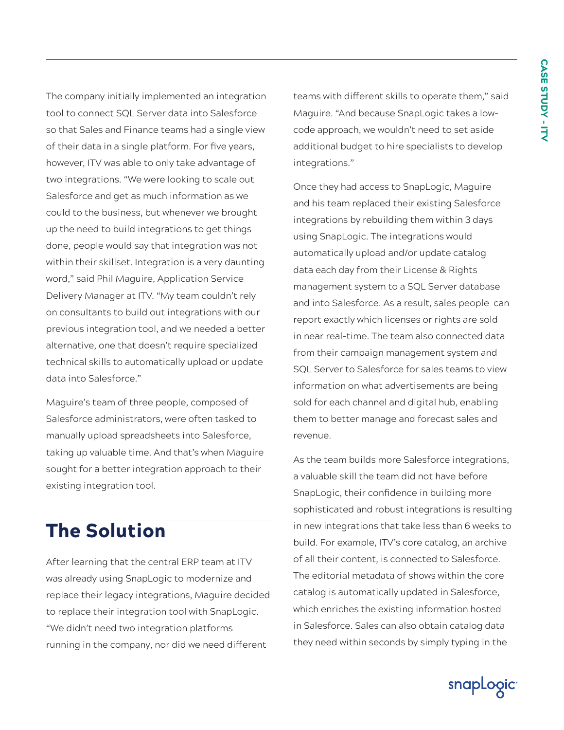The company initially implemented an integration tool to connect SQL Server data into Salesforce so that Sales and Finance teams had a single view of their data in a single platform. For five years, however, ITV was able to only take advantage of two integrations. "We were looking to scale out Salesforce and get as much information as we could to the business, but whenever we brought up the need to build integrations to get things done, people would say that integration was not within their skillset. Integration is a very daunting word," said Phil Maguire, Application Service Delivery Manager at ITV. "My team couldn't rely on consultants to build out integrations with our previous integration tool, and we needed a better alternative, one that doesn't require specialized technical skills to automatically upload or update data into Salesforce."

Maguire's team of three people, composed of Salesforce administrators, were often tasked to manually upload spreadsheets into Salesforce, taking up valuable time. And that's when Maguire sought for a better integration approach to their existing integration tool.

## The Solution

After learning that the central ERP team at ITV was already using SnapLogic to modernize and replace their legacy integrations, Maguire decided to replace their integration tool with SnapLogic. "We didn't need two integration platforms running in the company, nor did we need different

teams with different skills to operate them," said Maguire. "And because SnapLogic takes a lowcode approach, we wouldn't need to set aside additional budget to hire specialists to develop integrations."

Once they had access to SnapLogic, Maguire and his team replaced their existing Salesforce integrations by rebuilding them within 3 days using SnapLogic. The integrations would automatically upload and/or update catalog data each day from their License & Rights management system to a SQL Server database and into Salesforce. As a result, sales people can report exactly which licenses or rights are sold in near real-time. The team also connected data from their campaign management system and SQL Server to Salesforce for sales teams to view information on what advertisements are being sold for each channel and digital hub, enabling them to better manage and forecast sales and revenue.

As the team builds more Salesforce integrations, a valuable skill the team did not have before SnapLogic, their confidence in building more sophisticated and robust integrations is resulting in new integrations that take less than 6 weeks to build. For example, ITV's core catalog, an archive of all their content, is connected to Salesforce. The editorial metadata of shows within the core catalog is automatically updated in Salesforce, which enriches the existing information hosted in Salesforce. Sales can also obtain catalog data they need within seconds by simply typing in the